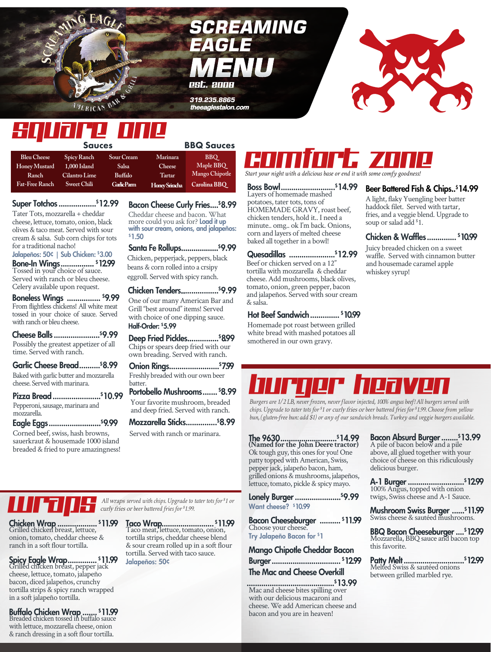

319.235.8865<br>theeaglestalon.com



**VERICAN BAR** 

**Sauces BBQ Sauces Bleu Cheese** Spicy Ranch Sour Cream Marinara **BBO** Honey Mustard  $1,000$  Island Maple BBQ Salsa Cheese Mango Chipotle Buffalo Ranch Cilantro Lime Tartar Sweet Chili Fat-Free Ranch **Garlic Parm** Honey Srinacha Carolina BBO

## **Super Totchos ....................** \$12.99

Tater Tots, mozzarella + cheddar cheese, lettuce, tomato, onion, black olives & taco meat. Served with sour cream & salsa. Sub corn chips for tots for a traditional nacho!

Jalapeños: 50¢ | Sub Chicken: \$3.00 **Bone-In Wings.................** \$12.99 Tossed in your choice of sauce. Served with ranch or bleu cheese. Celery available upon request.

**Boneless Wings ................** \$9.99 From flightless chickens! All white meat tossed in your choice of sauce. Served with ranch or bleu cheese.

Cheese Balls .......................<sup>5</sup>9.99 Possibly the greatest appetizer of all time. Served with ranch.

Garlic Cheese Bread..........<sup>5</sup>8.99 Baked with garlic butter and mozzarella cheese Served with marinara

Pizza Bread ...........................<sup>\$</sup>10.99 Pepperoni, sausage, marinara and mozzarella.

Eagle Eggs ..............................<sup>s</sup>9.99 Corned beef, swiss, hash browns, sauerkraut & housemade 1000 island breaded & fried to pure amazingness! **Bacon Cheese Curly Fries....** \$8.99

Cheddar cheese and bacon. What more could you ask for? Load it up with sour cream, onions, and jalapeños: \$1.50

Santa Fe Rollups...................<sup>5</sup>9.99 Chicken, pepperjack, peppers, black beans & corn rolled into a crsipy eggroll. Served with spicy ranch.

### Chicken Tenders....................<sup>59.99</sup>

One of our many American Bar and Grill "best around" items! Served with choice of one dipping sauce. Half-Order: \$5.99

Deep Fried Pickles................<sup>\$</sup>8.99 Chips or spears deep fried with our own breading. Served with ranch.

Onion Rings.........................<sup>\$</sup>7.99 Freshly breaded with our own beer **hatter** 

Portobello Mushrooms.......<sup>5</sup>8.99 Your favorite mushroom, breaded and deep fried. Served with ranch.

Mozzarella Sticks................<sup>s</sup>8.99

Served with ranch or marinara.

Start your night with a delicious base or end it with some comfy goodness!

Boss Bowl............................<sup>\$14.99</sup><br>Layers of homemade mashed potatoes, tater tots, tons of HOMEMADE GRAVY, roast beef. chicken tenders, hold it.. I need a minute.. omg.. ok I'm back. Onions, corn and layers of melted cheese baked all together in a bowl!

Quesadillas .......................<sup>\$</sup>12.99 Beef or chicken served on a 12' tortilla with mozzarella & cheddar cheese. Add mushrooms, black olives, tomato, onion, green pepper, bacon and jalapeños. Served with sour cream & salsa.

Hot Beef Sandwich ...............<sup>\$</sup> 10.99

Homemade pot roast between grilled white bread with mashed potatoes all smothered in our own gravy.

## Beer Battered Fish & Chips..<sup>5</sup>14.99

A light, flaky Yuengling beer batter haddock filet. Served with tartar. fries, and a veggie blend. Upgrade to soup or salad add<sup>\$</sup>1.

Chicken & Waffles............... \$10.99

Juicy breaded chicken on a sweet waffle. Served with cinnamon butter and housemade caramel apple whiskey syrup!

## <u>Urqer i</u> herven

Burgers are 1/2 LB, never frozen, never flavor injected, 100% angus beef! All burgers served with chips. Upgrade to tater tots for <sup>\$</sup>1 or curly fries or beer battered fries for <sup>\$</sup>1.99. Choose from yellow bun, (gluten-free bun: add \$1) or any of our sandwich breads. Turkey and veggie burgers available.

Ok tough guy, this ones for you! One patty topped with American, Swiss, pepper jack, jalapeño bacon, ham, grilled onions & mushrooms, jalapeños, lettuce, tomato, pickle & spicy mayo.

Lonely Burger .......................... \$9.99 Want cheese? \$10.99

Bacon Cheeseburger .......... \$11.99 Choose your cheese. Try Jalapeño Bacon for \$1

**Mango Chipotle Cheddar Bacon** The Mac and Cheese Overkill

Mac and cheese bites spilling over with our delicious macaroni and cheese. We add American cheese and bacon and you are in heaven!

**Bacon Absurd Burger........ \$13.99** A pile of bacon below and a pile above, all glued together with your choice of cheese on this ridiculously delicious burger.

twigs, Swiss cheese and A-1 Sauce.

Mushroom Swiss Burger ......<sup>\$</sup>11.99<br>Swiss cheese & sautéed mushrooms.

**BBQ Bacon Cheeseburger ....<sup>\$</sup> 12.99**<br>Mozzarella, BBQ sauce and bacon top this favorite.

Melted Swiss & sautéed onions between grilled marbled rye.

## $\blacksquare$ ┍┓

Chicken Wrap .....................<sup>\$11,99</sup><br>Grilled chicken breast, lettuce, onion, tomato, cheddar cheese & ranch in a soft flour tortilla.

Spicy Eagle Wrap............... \$11.99 cheese, lettuce, tomato, jalapeño bacon, diced jalapeños, crunchy tortilla strips & spicy ranch wrapped in a soft jalapeño tortilla.

## **Buffalo Chicken Wrap .......<sup>5</sup>11.99**<br>Breaded chicken tossed in buffalo sauce

with lettuce, mozzarella cheese, onion & ranch dressing in a soft flour tortilla.

## All wraps served with chips. Upgrade to tater tots for \$1 or curly fries or beer battered fries for \$1.99.

tortilla strips, cheddar cheese blend & sour cream rolled up in a soft flour tortilla. Served with taco sauce. Jalapeños: 50¢